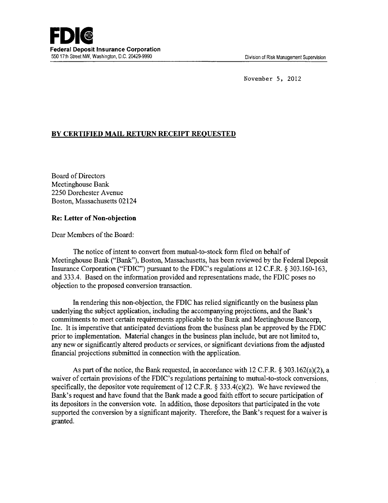November 5, 2012

## **BY CERTIFIED MAIL RETURN RECEIPT REQUESTED**

Board of Directors Meetinghouse Bank 2250 Dorchester A venue Boston, Massachusetts 02124

## **Re: Letter of Non-objection**

Dear Members of the Board:

The notice of intent to convert from mutual-to-stock form filed on behalf of Meetinghouse Bank ("Bank"), Boston, Massachusetts, has been reviewed by the Federal Deposit Insurance Corporation ("FDIC") pursuant to the FDIC's regulations at 12 C.F.R. § 303.160-163, and 333.4. Based on the information provided and representations made, the FDIC poses no objection to the proposed conversion transaction.

In rendering this non-objection, the FDIC has relied significantly on the business plan underlying the subject application, including the accompanying projections, and the Bank's commitments to meet certain requirements applicable to the Bank and Meetinghouse Bancorp, Inc. It is imperative that anticipated deviations from the business plan be approved by the FDIC prior to implementation. Material changes in the business plan include, but are not limited to, any new or significantly altered products or services, or significant deviations from the adjusted financial projections submitted in connection with the application.

As part of the notice, the Bank requested, in accordance with 12 C.F.R. § 303.162(a)(2), a waiver of certain provisions of the FDIC's regulations pertaining to mutual-to-stock conversions, specifically, the depositor vote requirement of 12 C.F.R.  $\S$  333.4(c)(2). We have reviewed the Bank's request and have found that the Bank made a good faith effort to secure participation of its depositors in the conversion vote. In addition, those depositors that participated in the vote supported the conversion by a significant majority. Therefore, the Bank's request for a waiver is granted.